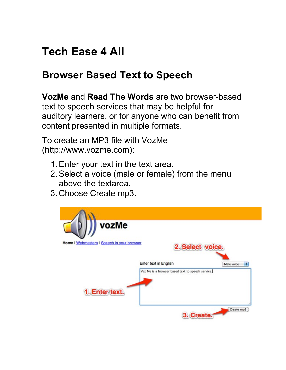## **Tech Ease 4 All**

## **Browser Based Text to Speech**

 **VozMe** and **Read The Words** are two browser-based text to speech services that may be helpful for auditory learners, or for anyone who can benefit from content presented in multiple formats.

 To create an MP3 file with VozMe (http://www.vozme.com):

- 1. Enter your text in the text area.
- 2. Select a voice (male or female) from the menu above the textarea.
- 3. Choose Create mp3.

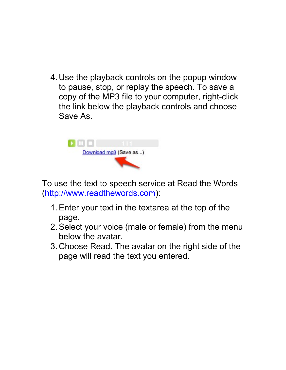4. Use the playback controls on the popup window to pause, stop, or replay the speech. To save a copy of the MP3 file to your computer, right-click the link below the playback controls and choose Save As.



 To use the text to speech service at Read the Words (http://www.readthewords.com):

- 1. Enter your text in the textarea at the top of the page.
- 2. Select your voice (male or female) from the menu below the avatar.
- 3. Choose Read. The avatar on the right side of the page will read the text you entered.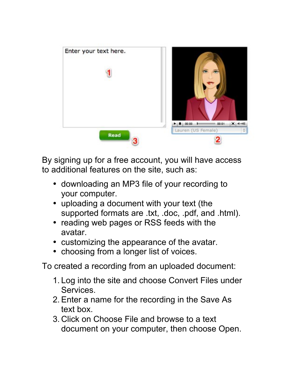

 By signing up for a free account, you will have access to additional features on the site, such as:

- • downloading an MP3 file of your recording to your computer.
- uploading a document with your text (the supported formats are .txt, .doc, .pdf, and .html).
- reading web pages or RSS feeds with the avatar.
- • customizing the appearance of the avatar.
- choosing from a longer list of voices.

To created a recording from an uploaded document:

- 1. Log into the site and choose Convert Files under Services.
- 2. Enter a name for the recording in the Save As text box.
- 3. Click on Choose File and browse to a text document on your computer, then choose Open.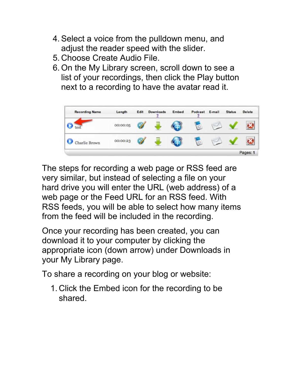- 4. Select a voice from the pulldown menu, and adjust the reader speed with the slider.
- 5. Choose Create Audio File.
- 6. On the My Library screen, scroll down to see a list of your recordings, then click the Play button next to a recording to have the avatar read it.



 The steps for recording a web page or RSS feed are very similar, but instead of selecting a file on your hard drive you will enter the URL (web address) of a web page or the Feed URL for an RSS feed. With RSS feeds, you will be able to select how many items from the feed will be included in the recording.

 Once your recording has been created, you can download it to your computer by clicking the appropriate icon (down arrow) under Downloads in your My Library page.

To share a recording on your blog or website:

 1. Click the Embed icon for the recording to be shared.